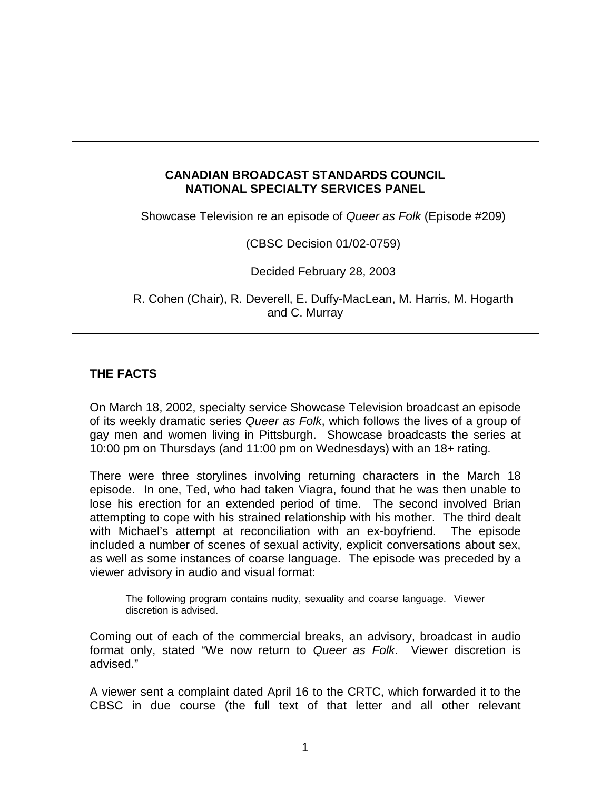## **CANADIAN BROADCAST STANDARDS COUNCIL NATIONAL SPECIALTY SERVICES PANEL**

Showcase Television re an episode of *Queer as Folk* (Episode #209)

(CBSC Decision 01/02-0759)

Decided February 28, 2003

R. Cohen (Chair), R. Deverell, E. Duffy-MacLean, M. Harris, M. Hogarth and C. Murray

# **THE FACTS**

On March 18, 2002, specialty service Showcase Television broadcast an episode of its weekly dramatic series *Queer as Folk*, which follows the lives of a group of gay men and women living in Pittsburgh. Showcase broadcasts the series at 10:00 pm on Thursdays (and 11:00 pm on Wednesdays) with an 18+ rating.

There were three storylines involving returning characters in the March 18 episode. In one, Ted, who had taken Viagra, found that he was then unable to lose his erection for an extended period of time. The second involved Brian attempting to cope with his strained relationship with his mother. The third dealt with Michael's attempt at reconciliation with an ex-boyfriend. The episode included a number of scenes of sexual activity, explicit conversations about sex, as well as some instances of coarse language. The episode was preceded by a viewer advisory in audio and visual format:

The following program contains nudity, sexuality and coarse language. Viewer discretion is advised.

Coming out of each of the commercial breaks, an advisory, broadcast in audio format only, stated "We now return to *Queer as Folk*. Viewer discretion is advised."

A viewer sent a complaint dated April 16 to the CRTC, which forwarded it to the CBSC in due course (the full text of that letter and all other relevant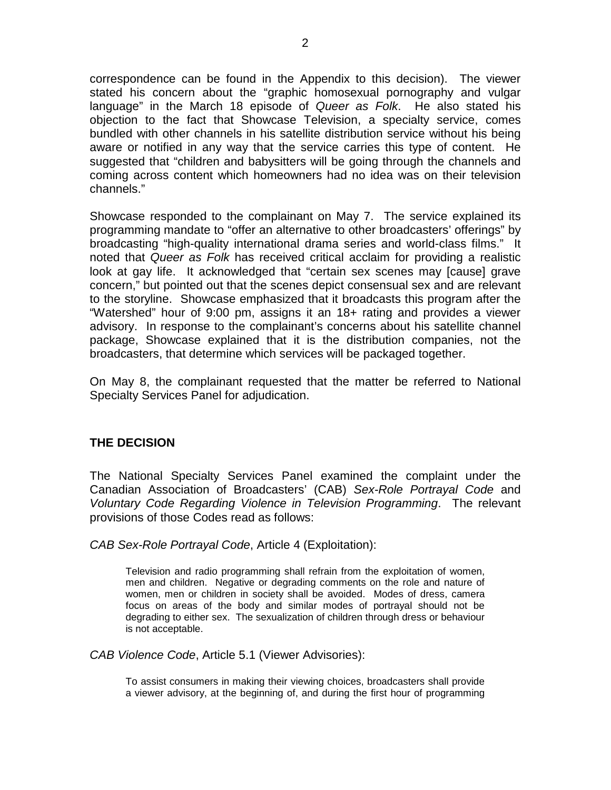correspondence can be found in the Appendix to this decision). The viewer stated his concern about the "graphic homosexual pornography and vulgar language" in the March 18 episode of *Queer as Folk*. He also stated his objection to the fact that Showcase Television, a specialty service, comes bundled with other channels in his satellite distribution service without his being aware or notified in any way that the service carries this type of content. He suggested that "children and babysitters will be going through the channels and coming across content which homeowners had no idea was on their television channels."

Showcase responded to the complainant on May 7. The service explained its programming mandate to "offer an alternative to other broadcasters' offerings" by broadcasting "high-quality international drama series and world-class films." It noted that *Queer as Folk* has received critical acclaim for providing a realistic look at gay life. It acknowledged that "certain sex scenes may [cause] grave concern," but pointed out that the scenes depict consensual sex and are relevant to the storyline. Showcase emphasized that it broadcasts this program after the "Watershed" hour of 9:00 pm, assigns it an 18+ rating and provides a viewer advisory. In response to the complainant's concerns about his satellite channel package, Showcase explained that it is the distribution companies, not the broadcasters, that determine which services will be packaged together.

On May 8, the complainant requested that the matter be referred to National Specialty Services Panel for adjudication.

## **THE DECISION**

The National Specialty Services Panel examined the complaint under the Canadian Association of Broadcasters' (CAB) *Sex-Role Portrayal Code* and *Voluntary Code Regarding Violence in Television Programming*. The relevant provisions of those Codes read as follows:

*CAB Sex-Role Portrayal Code*, Article 4 (Exploitation):

Television and radio programming shall refrain from the exploitation of women, men and children. Negative or degrading comments on the role and nature of women, men or children in society shall be avoided. Modes of dress, camera focus on areas of the body and similar modes of portrayal should not be degrading to either sex. The sexualization of children through dress or behaviour is not acceptable.

*CAB Violence Code*, Article 5.1 (Viewer Advisories):

To assist consumers in making their viewing choices, broadcasters shall provide a viewer advisory, at the beginning of, and during the first hour of programming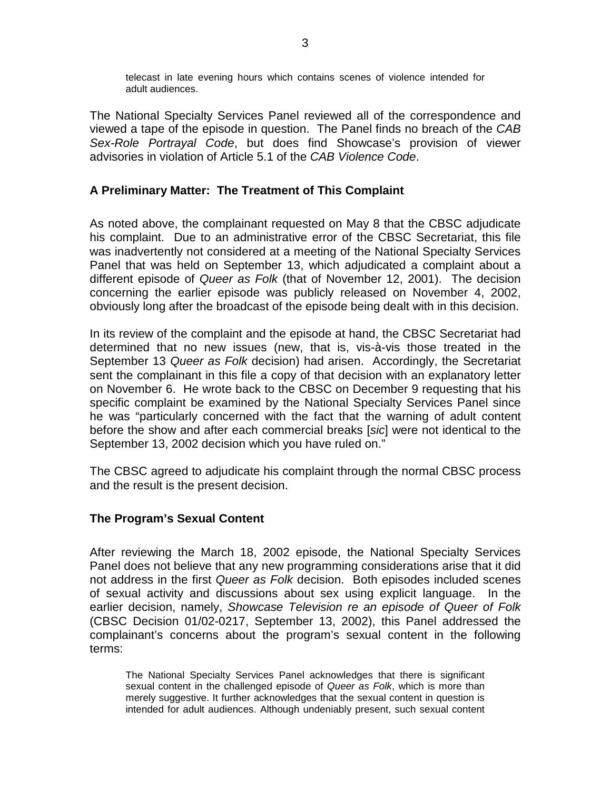telecast in late evening hours which contains scenes of violence intended for adult audiences.

The National Specialty Services Panel reviewed all of the correspondence and viewed a tape of the episode in question. The Panel finds no breach of the *CAB Sex-Role Portrayal Code*, but does find Showcase's provision of viewer advisories in violation of Article 5.1 of the *CAB Violence Code*.

#### **A Preliminary Matter: The Treatment of This Complaint**

As noted above, the complainant requested on May 8 that the CBSC adjudicate his complaint. Due to an administrative error of the CBSC Secretariat, this file was inadvertently not considered at a meeting of the National Specialty Services Panel that was held on September 13, which adjudicated a complaint about a different episode of *Queer as Folk* (that of November 12, 2001). The decision concerning the earlier episode was publicly released on November 4, 2002, obviously long after the broadcast of the episode being dealt with in this decision.

In its review of the complaint and the episode at hand, the CBSC Secretariat had determined that no new issues (new, that is, vis-à-vis those treated in the September 13 *Queer as Folk* decision) had arisen. Accordingly, the Secretariat sent the complainant in this file a copy of that decision with an explanatory letter on November 6. He wrote back to the CBSC on December 9 requesting that his specific complaint be examined by the National Specialty Services Panel since he was "particularly concerned with the fact that the warning of adult content before the show and after each commercial breaks [*sic*] were not identical to the September 13, 2002 decision which you have ruled on."

The CBSC agreed to adjudicate his complaint through the normal CBSC process and the result is the present decision.

#### **The Program's Sexual Content**

After reviewing the March 18, 2002 episode, the National Specialty Services Panel does not believe that any new programming considerations arise that it did not address in the first *Queer as Folk* decision. Both episodes included scenes of sexual activity and discussions about sex using explicit language. In the earlier decision, namely, *Showcase Television re an episode of Queer of Folk* (CBSC Decision 01/02-0217, September 13, 2002), this Panel addressed the complainant's concerns about the program's sexual content in the following terms:

The National Specialty Services Panel acknowledges that there is significant sexual content in the challenged episode of *Queer as Folk*, which is more than merely suggestive. It further acknowledges that the sexual content in question is intended for adult audiences. Although undeniably present, such sexual content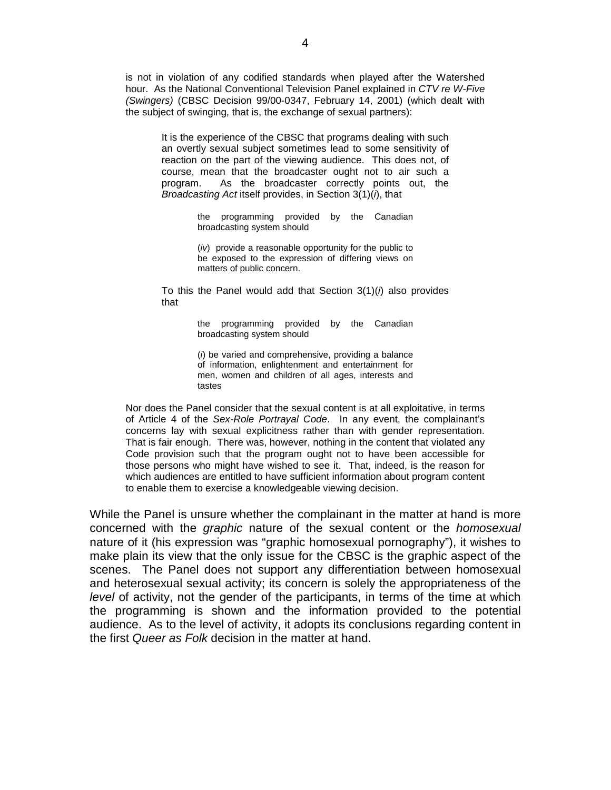is not in violation of any codified standards when played after the Watershed hour. As the National Conventional Television Panel explained in *CTV re W-Five (Swingers)* (CBSC Decision 99/00-0347, February 14, 2001) (which dealt with the subject of swinging, that is, the exchange of sexual partners):

It is the experience of the CBSC that programs dealing with such an overtly sexual subject sometimes lead to some sensitivity of reaction on the part of the viewing audience. This does not, of course, mean that the broadcaster ought not to air such a program. As the broadcaster correctly points out, the *Broadcasting Act* itself provides, in Section 3(1)(*i*), that

> the programming provided by the Canadian broadcasting system should

> (*iv*) provide a reasonable opportunity for the public to be exposed to the expression of differing views on matters of public concern.

To this the Panel would add that Section 3(1)(*i*) also provides that

> the programming provided by the Canadian broadcasting system should

> (*i*) be varied and comprehensive, providing a balance of information, enlightenment and entertainment for men, women and children of all ages, interests and tastes

Nor does the Panel consider that the sexual content is at all exploitative, in terms of Article 4 of the *Sex-Role Portrayal Code*. In any event, the complainant's concerns lay with sexual explicitness rather than with gender representation. That is fair enough. There was, however, nothing in the content that violated any Code provision such that the program ought not to have been accessible for those persons who might have wished to see it. That, indeed, is the reason for which audiences are entitled to have sufficient information about program content to enable them to exercise a knowledgeable viewing decision.

While the Panel is unsure whether the complainant in the matter at hand is more concerned with the *graphic* nature of the sexual content or the *homosexual* nature of it (his expression was "graphic homosexual pornography"), it wishes to make plain its view that the only issue for the CBSC is the graphic aspect of the scenes. The Panel does not support any differentiation between homosexual and heterosexual sexual activity; its concern is solely the appropriateness of the *level* of activity, not the gender of the participants, in terms of the time at which the programming is shown and the information provided to the potential audience. As to the level of activity, it adopts its conclusions regarding content in the first *Queer as Folk* decision in the matter at hand.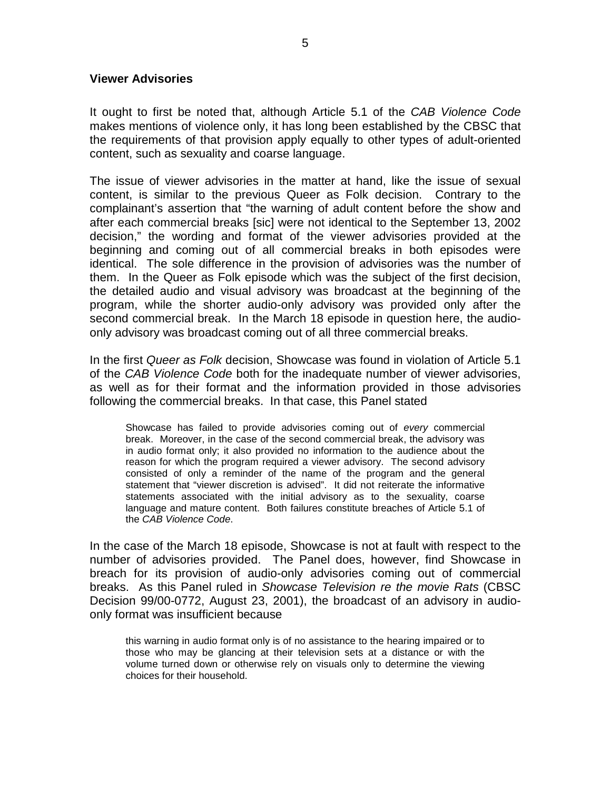#### **Viewer Advisories**

It ought to first be noted that, although Article 5.1 of the *CAB Violence Code* makes mentions of violence only, it has long been established by the CBSC that the requirements of that provision apply equally to other types of adult-oriented content, such as sexuality and coarse language.

The issue of viewer advisories in the matter at hand, like the issue of sexual content, is similar to the previous Queer as Folk decision. Contrary to the complainant's assertion that "the warning of adult content before the show and after each commercial breaks [sic] were not identical to the September 13, 2002 decision," the wording and format of the viewer advisories provided at the beginning and coming out of all commercial breaks in both episodes were identical. The sole difference in the provision of advisories was the number of them. In the Queer as Folk episode which was the subject of the first decision, the detailed audio and visual advisory was broadcast at the beginning of the program, while the shorter audio-only advisory was provided only after the second commercial break. In the March 18 episode in question here, the audioonly advisory was broadcast coming out of all three commercial breaks.

In the first *Queer as Folk* decision, Showcase was found in violation of Article 5.1 of the *CAB Violence Code* both for the inadequate number of viewer advisories, as well as for their format and the information provided in those advisories following the commercial breaks. In that case, this Panel stated

Showcase has failed to provide advisories coming out of *every* commercial break. Moreover, in the case of the second commercial break, the advisory was in audio format only; it also provided no information to the audience about the reason for which the program required a viewer advisory. The second advisory consisted of only a reminder of the name of the program and the general statement that "viewer discretion is advised". It did not reiterate the informative statements associated with the initial advisory as to the sexuality, coarse language and mature content. Both failures constitute breaches of Article 5.1 of the *CAB Violence Code*.

In the case of the March 18 episode, Showcase is not at fault with respect to the number of advisories provided. The Panel does, however, find Showcase in breach for its provision of audio-only advisories coming out of commercial breaks. As this Panel ruled in *Showcase Television re the movie Rats* (CBSC Decision 99/00-0772, August 23, 2001), the broadcast of an advisory in audioonly format was insufficient because

this warning in audio format only is of no assistance to the hearing impaired or to those who may be glancing at their television sets at a distance or with the volume turned down or otherwise rely on visuals only to determine the viewing choices for their household.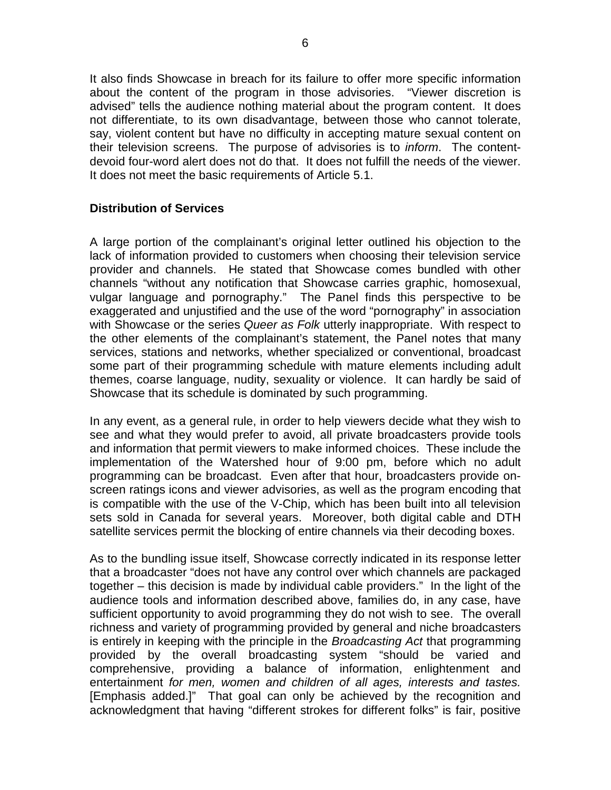It also finds Showcase in breach for its failure to offer more specific information about the content of the program in those advisories. "Viewer discretion is advised" tells the audience nothing material about the program content. It does not differentiate, to its own disadvantage, between those who cannot tolerate, say, violent content but have no difficulty in accepting mature sexual content on their television screens. The purpose of advisories is to *inform*. The contentdevoid four-word alert does not do that. It does not fulfill the needs of the viewer. It does not meet the basic requirements of Article 5.1.

## **Distribution of Services**

A large portion of the complainant's original letter outlined his objection to the lack of information provided to customers when choosing their television service provider and channels. He stated that Showcase comes bundled with other channels "without any notification that Showcase carries graphic, homosexual, vulgar language and pornography." The Panel finds this perspective to be exaggerated and unjustified and the use of the word "pornography" in association with Showcase or the series *Queer as Folk* utterly inappropriate. With respect to the other elements of the complainant's statement, the Panel notes that many services, stations and networks, whether specialized or conventional, broadcast some part of their programming schedule with mature elements including adult themes, coarse language, nudity, sexuality or violence. It can hardly be said of Showcase that its schedule is dominated by such programming.

In any event, as a general rule, in order to help viewers decide what they wish to see and what they would prefer to avoid, all private broadcasters provide tools and information that permit viewers to make informed choices. These include the implementation of the Watershed hour of 9:00 pm, before which no adult programming can be broadcast. Even after that hour, broadcasters provide onscreen ratings icons and viewer advisories, as well as the program encoding that is compatible with the use of the V-Chip, which has been built into all television sets sold in Canada for several years. Moreover, both digital cable and DTH satellite services permit the blocking of entire channels via their decoding boxes.

As to the bundling issue itself, Showcase correctly indicated in its response letter that a broadcaster "does not have any control over which channels are packaged together – this decision is made by individual cable providers." In the light of the audience tools and information described above, families do, in any case, have sufficient opportunity to avoid programming they do not wish to see. The overall richness and variety of programming provided by general and niche broadcasters is entirely in keeping with the principle in the *Broadcasting Act* that programming provided by the overall broadcasting system "should be varied and comprehensive, providing a balance of information, enlightenment and entertainment *for men, women and children of all ages, interests and tastes.* [Emphasis added.]" That goal can only be achieved by the recognition and acknowledgment that having "different strokes for different folks" is fair, positive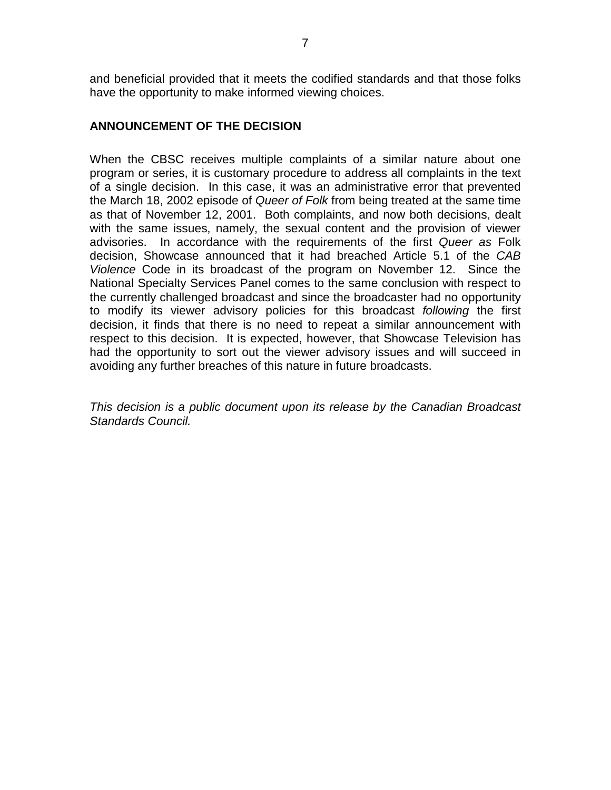and beneficial provided that it meets the codified standards and that those folks have the opportunity to make informed viewing choices.

## **ANNOUNCEMENT OF THE DECISION**

When the CBSC receives multiple complaints of a similar nature about one program or series, it is customary procedure to address all complaints in the text of a single decision. In this case, it was an administrative error that prevented the March 18, 2002 episode of *Queer of Folk* from being treated at the same time as that of November 12, 2001. Both complaints, and now both decisions, dealt with the same issues, namely, the sexual content and the provision of viewer advisories. In accordance with the requirements of the first *Queer as* Folk decision, Showcase announced that it had breached Article 5.1 of the *CAB Violence* Code in its broadcast of the program on November 12. Since the National Specialty Services Panel comes to the same conclusion with respect to the currently challenged broadcast and since the broadcaster had no opportunity to modify its viewer advisory policies for this broadcast *following* the first decision, it finds that there is no need to repeat a similar announcement with respect to this decision. It is expected, however, that Showcase Television has had the opportunity to sort out the viewer advisory issues and will succeed in avoiding any further breaches of this nature in future broadcasts.

*This decision is a public document upon its release by the Canadian Broadcast Standards Council.*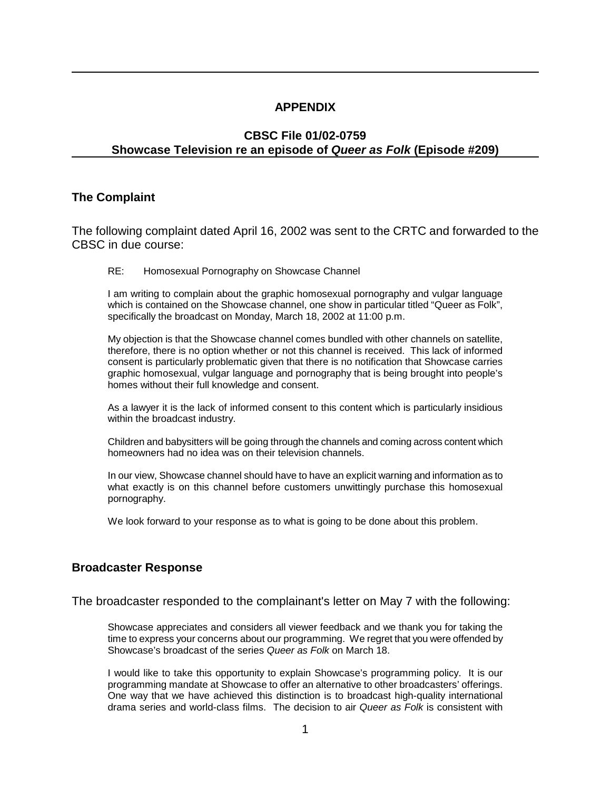#### **APPENDIX**

## **CBSC File 01/02-0759 Showcase Television re an episode of** *Queer as Folk* **(Episode #209)**

#### **The Complaint**

The following complaint dated April 16, 2002 was sent to the CRTC and forwarded to the CBSC in due course:

RE: Homosexual Pornography on Showcase Channel

I am writing to complain about the graphic homosexual pornography and vulgar language which is contained on the Showcase channel, one show in particular titled "Queer as Folk", specifically the broadcast on Monday, March 18, 2002 at 11:00 p.m.

My objection is that the Showcase channel comes bundled with other channels on satellite, therefore, there is no option whether or not this channel is received. This lack of informed consent is particularly problematic given that there is no notification that Showcase carries graphic homosexual, vulgar language and pornography that is being brought into people's homes without their full knowledge and consent.

As a lawyer it is the lack of informed consent to this content which is particularly insidious within the broadcast industry.

Children and babysitters will be going through the channels and coming across content which homeowners had no idea was on their television channels.

In our view, Showcase channel should have to have an explicit warning and information as to what exactly is on this channel before customers unwittingly purchase this homosexual pornography.

We look forward to your response as to what is going to be done about this problem.

## **Broadcaster Response**

The broadcaster responded to the complainant's letter on May 7 with the following:

Showcase appreciates and considers all viewer feedback and we thank you for taking the time to express your concerns about our programming. We regret that you were offended by Showcase's broadcast of the series *Queer as Folk* on March 18.

I would like to take this opportunity to explain Showcase's programming policy. It is our programming mandate at Showcase to offer an alternative to other broadcasters' offerings. One way that we have achieved this distinction is to broadcast high-quality international drama series and world-class films. The decision to air *Queer as Folk* is consistent with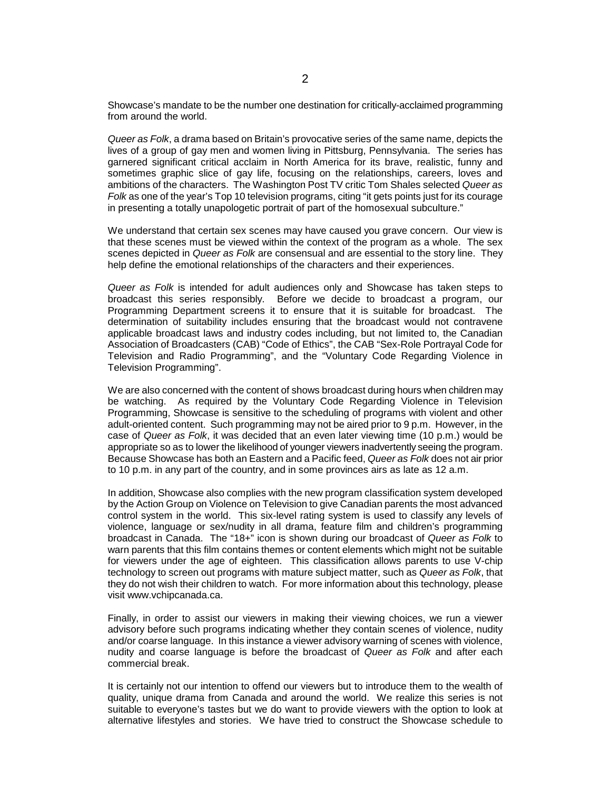Showcase's mandate to be the number one destination for critically-acclaimed programming from around the world.

*Queer as Folk*, a drama based on Britain's provocative series of the same name, depicts the lives of a group of gay men and women living in Pittsburg, Pennsylvania. The series has garnered significant critical acclaim in North America for its brave, realistic, funny and sometimes graphic slice of gay life, focusing on the relationships, careers, loves and ambitions of the characters. The Washington Post TV critic Tom Shales selected *Queer as Folk* as one of the year's Top 10 television programs, citing "it gets points just for its courage in presenting a totally unapologetic portrait of part of the homosexual subculture."

We understand that certain sex scenes may have caused you grave concern. Our view is that these scenes must be viewed within the context of the program as a whole. The sex scenes depicted in *Queer as Folk* are consensual and are essential to the story line. They help define the emotional relationships of the characters and their experiences.

*Queer as Folk* is intended for adult audiences only and Showcase has taken steps to broadcast this series responsibly. Before we decide to broadcast a program, our Programming Department screens it to ensure that it is suitable for broadcast. The determination of suitability includes ensuring that the broadcast would not contravene applicable broadcast laws and industry codes including, but not limited to, the Canadian Association of Broadcasters (CAB) "Code of Ethics", the CAB "Sex-Role Portrayal Code for Television and Radio Programming", and the "Voluntary Code Regarding Violence in Television Programming".

We are also concerned with the content of shows broadcast during hours when children may be watching. As required by the Voluntary Code Regarding Violence in Television Programming, Showcase is sensitive to the scheduling of programs with violent and other adult-oriented content. Such programming may not be aired prior to 9 p.m. However, in the case of *Queer as Folk*, it was decided that an even later viewing time (10 p.m.) would be appropriate so as to lower the likelihood of younger viewers inadvertently seeing the program. Because Showcase has both an Eastern and a Pacific feed, *Queer as Folk* does not air prior to 10 p.m. in any part of the country, and in some provinces airs as late as 12 a.m.

In addition, Showcase also complies with the new program classification system developed by the Action Group on Violence on Television to give Canadian parents the most advanced control system in the world. This six-level rating system is used to classify any levels of violence, language or sex/nudity in all drama, feature film and children's programming broadcast in Canada. The "18+" icon is shown during our broadcast of *Queer as Folk* to warn parents that this film contains themes or content elements which might not be suitable for viewers under the age of eighteen. This classification allows parents to use V-chip technology to screen out programs with mature subject matter, such as *Queer as Folk*, that they do not wish their children to watch. For more information about this technology, please visit www.vchipcanada.ca.

Finally, in order to assist our viewers in making their viewing choices, we run a viewer advisory before such programs indicating whether they contain scenes of violence, nudity and/or coarse language. In this instance a viewer advisory warning of scenes with violence, nudity and coarse language is before the broadcast of *Queer as Folk* and after each commercial break.

It is certainly not our intention to offend our viewers but to introduce them to the wealth of quality, unique drama from Canada and around the world. We realize this series is not suitable to everyone's tastes but we do want to provide viewers with the option to look at alternative lifestyles and stories. We have tried to construct the Showcase schedule to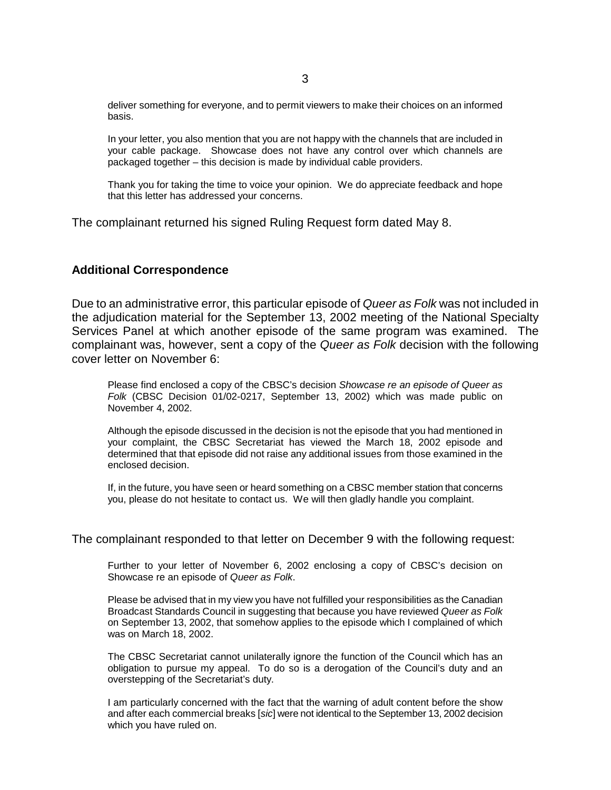deliver something for everyone, and to permit viewers to make their choices on an informed basis.

In your letter, you also mention that you are not happy with the channels that are included in your cable package. Showcase does not have any control over which channels are packaged together – this decision is made by individual cable providers.

Thank you for taking the time to voice your opinion. We do appreciate feedback and hope that this letter has addressed your concerns.

The complainant returned his signed Ruling Request form dated May 8.

#### **Additional Correspondence**

Due to an administrative error, this particular episode of *Queer as Folk* was not included in the adjudication material for the September 13, 2002 meeting of the National Specialty Services Panel at which another episode of the same program was examined. The complainant was, however, sent a copy of the *Queer as Folk* decision with the following cover letter on November 6:

Please find enclosed a copy of the CBSC's decision *Showcase re an episode of Queer as Folk* (CBSC Decision 01/02-0217, September 13, 2002) which was made public on November 4, 2002.

Although the episode discussed in the decision is not the episode that you had mentioned in your complaint, the CBSC Secretariat has viewed the March 18, 2002 episode and determined that that episode did not raise any additional issues from those examined in the enclosed decision.

If, in the future, you have seen or heard something on a CBSC member station that concerns you, please do not hesitate to contact us. We will then gladly handle you complaint.

The complainant responded to that letter on December 9 with the following request:

Further to your letter of November 6, 2002 enclosing a copy of CBSC's decision on Showcase re an episode of *Queer as Folk*.

Please be advised that in my view you have not fulfilled your responsibilities as the Canadian Broadcast Standards Council in suggesting that because you have reviewed *Queer as Folk* on September 13, 2002, that somehow applies to the episode which I complained of which was on March 18, 2002.

The CBSC Secretariat cannot unilaterally ignore the function of the Council which has an obligation to pursue my appeal. To do so is a derogation of the Council's duty and an overstepping of the Secretariat's duty.

I am particularly concerned with the fact that the warning of adult content before the show and after each commercial breaks [*sic*] were not identical to the September 13, 2002 decision which you have ruled on.